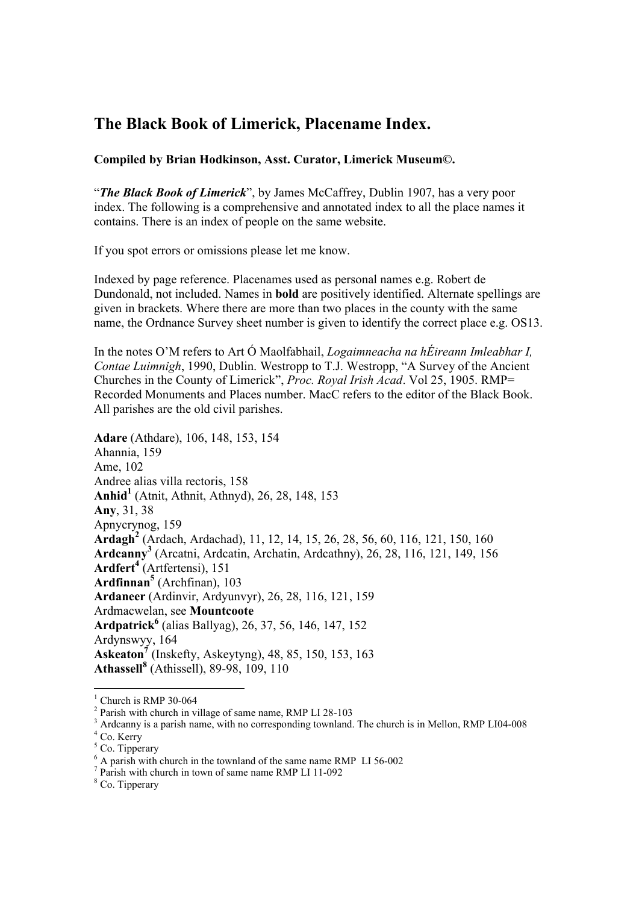## **The Black Book of Limerick, Placename Index.**

## **Compiled by Brian Hodkinson, Asst. Curator, Limerick Museum©.**

"*The Black Book of Limerick*", by James McCaffrey, Dublin 1907, has a very poor index. The following is a comprehensive and annotated index to all the place names it contains. There is an index of people on the same website.

If you spot errors or omissions please let me know.

Indexed by page reference. Placenames used as personal names e.g. Robert de Dundonald, not included. Names in **bold** are positively identified. Alternate spellings are given in brackets. Where there are more than two places in the county with the same name, the Ordnance Survey sheet number is given to identify the correct place e.g. OS13.

In the notes O'M refers to Art Ó Maolfabhail, *Logaimneacha na hÉireann Imleabhar I, Contae Luimnigh*, 1990, Dublin. Westropp to T.J. Westropp, "A Survey of the Ancient Churches in the County of Limerick", *Proc. Royal Irish Acad*. Vol 25, 1905. RMP= Recorded Monuments and Places number. MacC refers to the editor of the Black Book. All parishes are the old civil parishes.

**Adare** (Athdare), 106, 148, 153, 154 Ahannia, 159 Ame, 102 Andree alias villa rectoris, 158 **Anhid<sup>1</sup>** (Atnit, Athnit, Athnyd), 26, 28, 148, 153 **Any**, 31, 38 Apnycrynog, 159 **Ardagh<sup>2</sup>** (Ardach, Ardachad), 11, 12, 14, 15, 26, 28, 56, 60, 116, 121, 150, 160 **Ardcanny<sup>3</sup>** (Arcatni, Ardcatin, Archatin, Ardcathny), 26, 28, 116, 121, 149, 156 **Ardfert<sup>4</sup>** (Artfertensi), 151 **Ardfinnan<sup>5</sup>** (Archfinan), 103 **Ardaneer** (Ardinvir, Ardyunvyr), 26, 28, 116, 121, 159 Ardmacwelan, see **Mountcoote Ardpatrick6** (alias Ballyag), 26, 37, 56, 146, 147, 152 Ardynswyy, 164 **Askeaton7** (Inskefty, Askeytyng), 48, 85, 150, 153, 163 **Athassell<sup>8</sup>** (Athissell), 89-98, 109, 110

 $1$  Church is RMP 30-064

<sup>&</sup>lt;sup>2</sup> Parish with church in village of same name, RMP LI 28-103

<sup>&</sup>lt;sup>3</sup> Ardcanny is a parish name, with no corresponding townland. The church is in Mellon, RMP LI04-008

 $4$  Co. Kerry

 $5$  Co. Tipperary

 $6$  A parish with church in the townland of the same name RMP LI 56-002

<sup>&</sup>lt;sup>7</sup> Parish with church in town of same name RMP LI 11-092

<sup>&</sup>lt;sup>8</sup> Co. Tipperary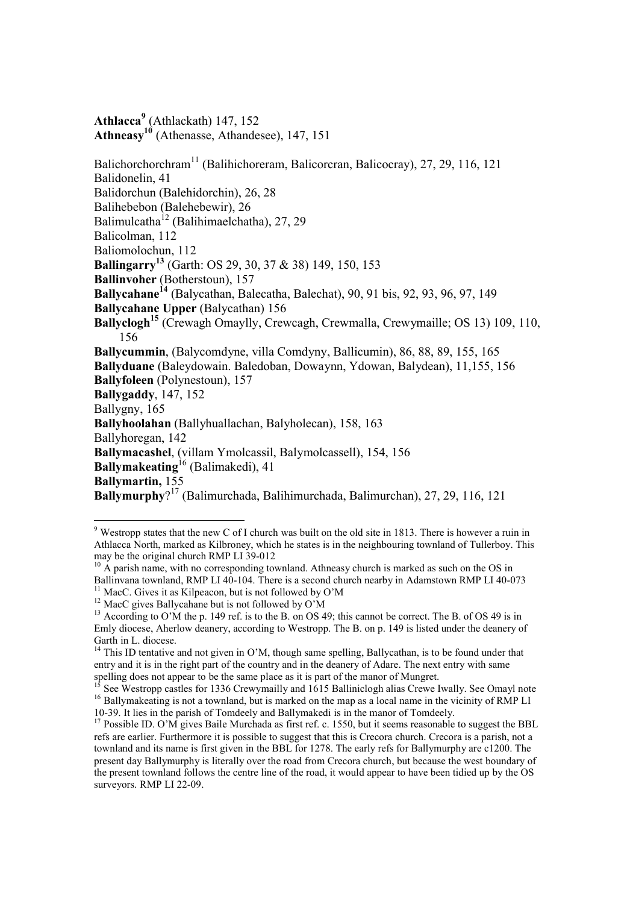**Athlacca<sup>9</sup>** (Athlackath) 147, 152 Athneasy<sup>10</sup> (Athenasse, Athandesee), 147, 151

Balichorchorchram<sup>11</sup> (Balihichoreram, Balicorcran, Balicocray), 27, 29, 116, 121 Balidonelin, 41 Balidorchun (Balehidorchin), 26, 28 Balihebebon (Balehebewir), 26 Balimulcatha12 (Balihimaelchatha), 27, 29 Balicolman, 112 Baliomolochun, 112 **Ballingarry13** (Garth: OS 29, 30, 37 & 38) 149, 150, 153 **Ballinvoher** (Botherstoun), 157 **Ballycahane14** (Balycathan, Balecatha, Balechat), 90, 91 bis, 92, 93, 96, 97, 149 **Ballycahane Upper** (Balycathan) 156 **Ballyclogh<sup>15</sup>** (Crewagh Omaylly, Crewcagh, Crewmalla, Crewymaille; OS 13) 109, 110, 156 **Ballycummin**, (Balycomdyne, villa Comdyny, Ballicumin), 86, 88, 89, 155, 165 **Ballyduane** (Baleydowain. Baledoban, Dowaynn, Ydowan, Balydean), 11,155, 156 **Ballyfoleen** (Polynestoun), 157 **Ballygaddy**, 147, 152 Ballygny, 165 **Ballyhoolahan** (Ballyhuallachan, Balyholecan), 158, 163 Ballyhoregan, 142 **Ballymacashel**, (villam Ymolcassil, Balymolcassell), 154, 156 **Ballymakeating**16 (Balimakedi), 41 **Ballymartin,** 155 **Ballymurphy**? 17 (Balimurchada, Balihimurchada, Balimurchan), 27, 29, 116, 121

<sup>&</sup>lt;sup>9</sup> Westropp states that the new C of I church was built on the old site in 1813. There is however a ruin in Athlacca North, marked as Kilbroney, which he states is in the neighbouring townland of Tullerboy. This may be the original church RMP LI 39-012

 $10\text{ Å}$  parish name, with no corresponding townland. Athneasy church is marked as such on the OS in Ballinvana townland, RMP LI 40-104. There is a second church nearby in Adamstown RMP LI 40-073  $11$  MacC. Gives it as Kilpeacon, but is not followed by O'M

<sup>&</sup>lt;sup>12</sup> MacC gives Ballycahane but is not followed by O'M

<sup>&</sup>lt;sup>13</sup> According to O'M the p. 149 ref. is to the B. on OS 49; this cannot be correct. The B. of OS 49 is in Emly diocese, Aherlow deanery, according to Westropp. The B. on p. 149 is listed under the deanery of Garth in L. diocese.

 $14$  This ID tentative and not given in O'M, though same spelling, Ballycathan, is to be found under that entry and it is in the right part of the country and in the deanery of Adare. The next entry with same spelling does not appear to be the same place as it is part of the manor of Mungret.

See Westropp castles for 1336 Crewymailly and 1615 Balliniclogh alias Crewe Iwally. See Omayl note <sup>16</sup> Ballymakeating is not a townland, but is marked on the map as a local name in the vicinity of RMP LI 10-39. It lies in the parish of Tomdeely and Ballymakedi is in the manor of Tomdeely.

<sup>&</sup>lt;sup>17</sup> Possible ID. O'M gives Baile Murchada as first ref. c. 1550, but it seems reasonable to suggest the BBL refs are earlier. Furthermore it is possible to suggest that this is Crecora church. Crecora is a parish, not a townland and its name is first given in the BBL for 1278. The early refs for Ballymurphy are c1200. The present day Ballymurphy is literally over the road from Crecora church, but because the west boundary of the present townland follows the centre line of the road, it would appear to have been tidied up by the OS surveyors. RMP LI 22-09.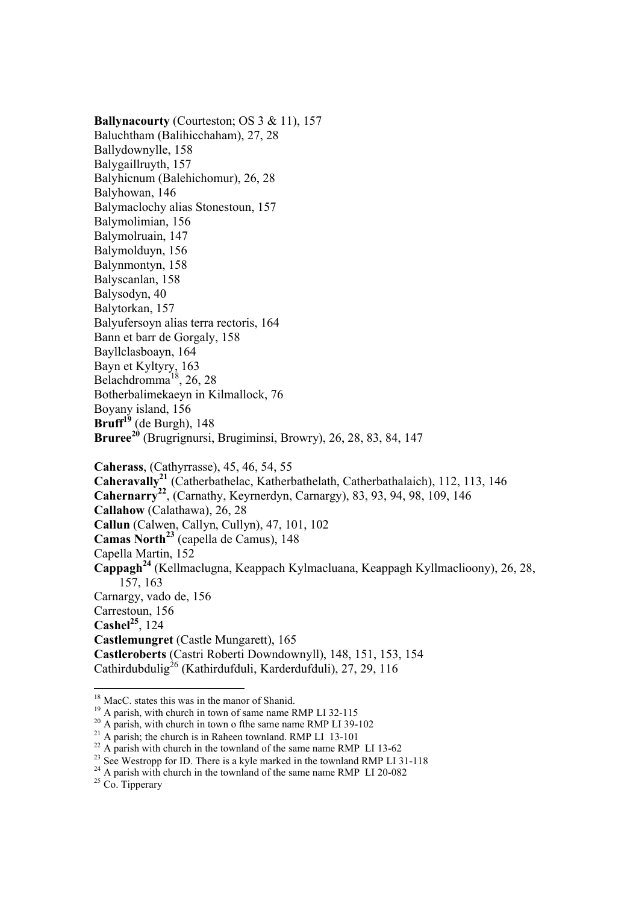**Ballynacourty** (Courteston; OS 3 & 11), 157 Baluchtham (Balihicchaham), 27, 28 Ballydownylle, 158 Balygaillruyth, 157 Balyhicnum (Balehichomur), 26, 28 Balyhowan, 146 Balymaclochy alias Stonestoun, 157 Balymolimian, 156 Balymolruain, 147 Balymolduyn, 156 Balynmontyn, 158 Balyscanlan, 158 Balysodyn, 40 Balytorkan, 157 Balyufersoyn alias terra rectoris, 164 Bann et barr de Gorgaly, 158 Bayllclasboayn, 164 Bayn et Kyltyry, 163 Belachdromma<sup>18</sup>, 26, 28 Botherbalimekaeyn in Kilmallock, 76 Boyany island, 156  $Bruff<sup>19</sup>$  (de Burgh), 148 **Bruree<sup>20</sup>** (Brugrignursi, Brugiminsi, Browry), 26, 28, 83, 84, 147 **Caherass**, (Cathyrrasse), 45, 46, 54, 55

**Caheravally21** (Catherbathelac, Katherbathelath, Catherbathalaich), 112, 113, 146 **Cahernarry22**, (Carnathy, Keyrnerdyn, Carnargy), 83, 93, 94, 98, 109, 146 **Callahow** (Calathawa), 26, 28 **Callun** (Calwen, Callyn, Cullyn), 47, 101, 102 **Camas North<sup>23</sup>** (capella de Camus), 148 Capella Martin, 152 **Cappagh<sup>24</sup>** (Kellmaclugna, Keappach Kylmacluana, Keappagh Kyllmaclioony), 26, 28, 157, 163 Carnargy, vado de, 156 Carrestoun, 156 **Cashel**<sup>25</sup>,  $124$ **Castlemungret** (Castle Mungarett), 165 **Castleroberts** (Castri Roberti Downdownyll), 148, 151, 153, 154 Cathirdubdulig<sup>26</sup> (Kathirdufduli, Karderdufduli), 27, 29, 116 -

<sup>&</sup>lt;sup>18</sup> MacC. states this was in the manor of Shanid.

<sup>&</sup>lt;sup>19</sup> A parish, with church in town of same name RMP LI 32-115<br><sup>20</sup> A parish, with church in town o fthe same name RMP LI 39-102<br><sup>21</sup> A parish; the church is in Raheen townland. RMP LI 13-101<br><sup>22</sup> A parish with church in t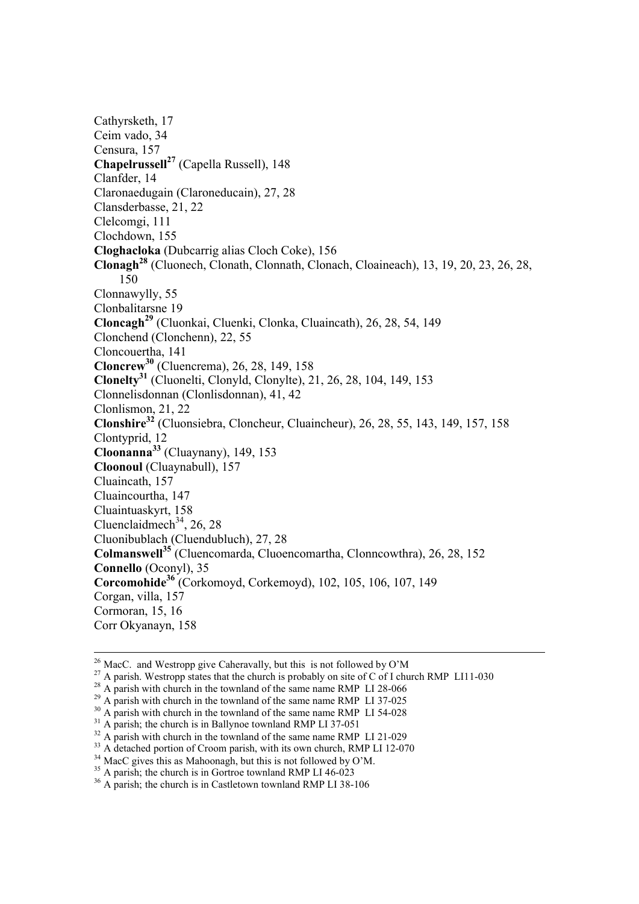Cathyrsketh, 17 Ceim vado, 34 Censura, 157 **Chapelrussell27** (Capella Russell), 148 Clanfder, 14 Claronaedugain (Claroneducain), 27, 28 Clansderbasse, 21, 22 Clelcomgi, 111 Clochdown, 155 **Cloghacloka** (Dubcarrig alias Cloch Coke), 156 **Clonagh28** (Cluonech, Clonath, Clonnath, Clonach, Cloaineach), 13, 19, 20, 23, 26, 28, 150 Clonnawylly, 55 Clonbalitarsne 19 **Cloncagh<sup>29</sup>** (Cluonkai, Cluenki, Clonka, Cluaincath), 26, 28, 54, 149 Clonchend (Clonchenn), 22, 55 Cloncouertha, 141 **Cloncrew<sup>30</sup>** (Cluencrema), 26, 28, 149, 158 **Clonelty<sup>31</sup>** (Cluonelti, Clonyld, Clonylte), 21, 26, 28, 104, 149, 153 Clonnelisdonnan (Clonlisdonnan), 41, 42 Clonlismon, 21, 22 **Clonshire<sup>32</sup>** (Cluonsiebra, Cloncheur, Cluaincheur), 26, 28, 55, 143, 149, 157, 158 Clontyprid, 12 **Cloonanna<sup>33</sup>** (Cluaynany), 149, 153 **Cloonoul** (Cluaynabull), 157 Cluaincath, 157 Cluaincourtha, 147 Cluaintuaskyrt, 158 Cluenclaidmech<sup>34</sup>, 26, 28 Cluonibublach (Cluendubluch), 27, 28 **Colmanswell35** (Cluencomarda, Cluoencomartha, Clonncowthra), 26, 28, 152 **Connello** (Oconyl), 35 **Corcomohide<sup>36</sup>** (Corkomoyd, Corkemoyd), 102, 105, 106, 107, 149 Corgan, villa, 157 Cormoran, 15, 16 Corr Okyanayn, 158

<u>.</u>

<sup>&</sup>lt;sup>26</sup> MacC. and Westropp give Caheravally, but this is not followed by O'M

<sup>&</sup>lt;sup>27</sup> A parish. Westropp states that the church is probably on site of C of I church RMP LI11-030<br><sup>28</sup> A parish with church in the townland of the same name RMP LI 28-066

<sup>&</sup>lt;sup>29</sup> A parish with church in the townland of the same name RMP LI 37-025<br><sup>30</sup> A parish with church in the townland of the same name RMP LI 54-028<br><sup>31</sup> A parish; the church is in Ballynoe townland RMP LI 37-051<br><sup>32</sup> A pari

<sup>&</sup>lt;sup>33</sup> A detached portion of Croom parish, with its own church, RMP LI 12-070 <sup>34</sup> MacC gives this as Mahoonagh, but this is not followed by O'M.

 $35$  A parish; the church is in Gortroe townland RMP LI 46-023

<sup>&</sup>lt;sup>36</sup> A parish; the church is in Castletown townland RMP LI 38-106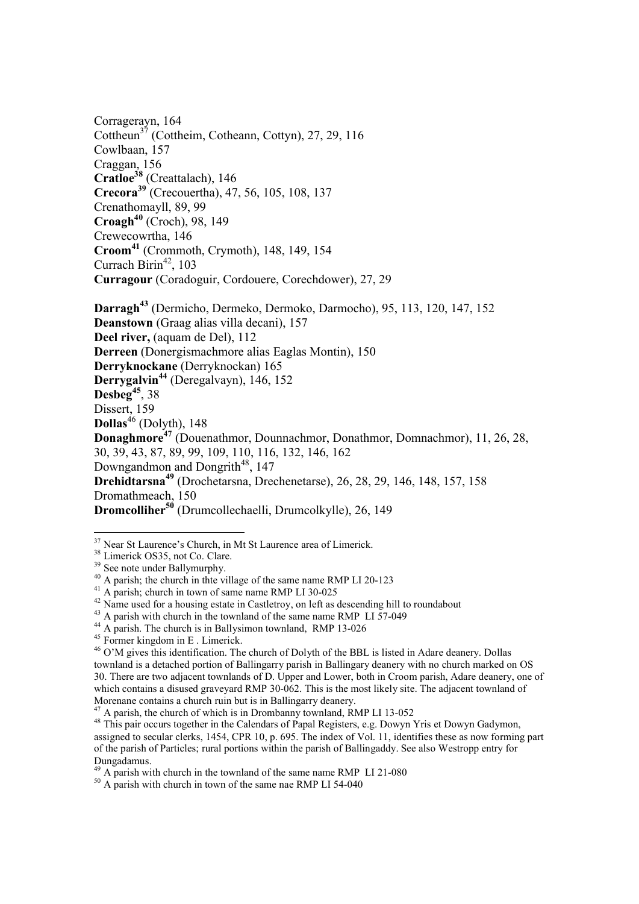Corragerayn, 164 Cottheun<sup>37</sup> (Cottheim, Cotheann, Cottyn), 27, 29, 116 Cowlbaan, 157 Craggan, 156 **Cratloe38** (Creattalach), 146 **Crecora<sup>39</sup>** (Crecouertha), 47, 56, 105, 108, 137 Crenathomayll, 89, 99 **Croagh40** (Croch), 98, 149 Crewecowrtha, 146 **Croom<sup>41</sup>** (Crommoth, Crymoth), 148, 149, 154 Currach Birin<sup>42</sup>, 103 **Curragour** (Coradoguir, Cordouere, Corechdower), 27, 29 **Darragh<sup>43</sup>** (Dermicho, Dermeko, Dermoko, Darmocho), 95, 113, 120, 147, 152

**Deanstown** (Graag alias villa decani), 157 **Deel river,** (aquam de Del), 112 **Derreen** (Donergismachmore alias Eaglas Montin), 150 **Derryknockane** (Derryknockan) 165 **Derrygalvin<sup>44</sup>** (Deregalvayn), 146, 152 **Desbeg<sup>45</sup>**, 38 Dissert, 159 **Dollas**46 (Dolyth), 148 **Donaghmore<sup>47</sup>** (Douenathmor, Dounnachmor, Donathmor, Domnachmor), 11, 26, 28, 30, 39, 43, 87, 89, 99, 109, 110, 116, 132, 146, 162 Downgandmon and Dongrith<sup>48</sup>, 147 **Drehidtarsna<sup>49</sup>** (Drochetarsna, Drechenetarse), 26, 28, 29, 146, 148, 157, 158 Dromathmeach, 150 **Dromcolliher<sup>50</sup>** (Drumcollechaelli, Drumcolkylle), 26, 149

<sup>&</sup>lt;sup>37</sup> Near St Laurence's Church, in Mt St Laurence area of Limerick.<br><sup>38</sup> Limerick OS35, not Co. Clare.<br><sup>39</sup> See note under Ballymurphy.

 $40$  A parish; the church in the village of the same name RMP LI 20-123

<sup>41</sup> A parish; church in town of same name RMP LI 30-025

 $^{42}$  Name used for a housing estate in Castletroy, on left as descending hill to roundabout  $^{43}$  A parish with church in the townland of the same name RMP LI 57-049

 $^{44}$  A parish. The church is in Ballysimon townland, RMP 13-026<br> $^{45}$  Former kingdom in E . Limerick.

<sup>&</sup>lt;sup>46</sup> O'M gives this identification. The church of Dolyth of the BBL is listed in Adare deanery. Dollas townland is a detached portion of Ballingarry parish in Ballingary deanery with no church marked on OS 30. There are two adjacent townlands of D. Upper and Lower, both in Croom parish, Adare deanery, one of which contains a disused graveyard RMP 30-062. This is the most likely site. The adjacent townland of Morenane contains a church ruin but is in Ballingarry deanery.

<sup>&</sup>lt;sup>47</sup> A parish, the church of which is in Drombanny townland, RMP LI 13-052

<sup>48</sup> This pair occurs together in the Calendars of Papal Registers, e.g. Dowyn Yris et Dowyn Gadymon, assigned to secular clerks, 1454, CPR 10, p. 695. The index of Vol. 11, identifies these as now forming part of the parish of Particles; rural portions within the parish of Ballingaddy. See also Westropp entry for Dungadamus.<br> $^{49}$  A parish with church in the townland of the same name RMP LI 21-080

 $^{50}$  A parish with church in the townland of the same name RMP LI 54-040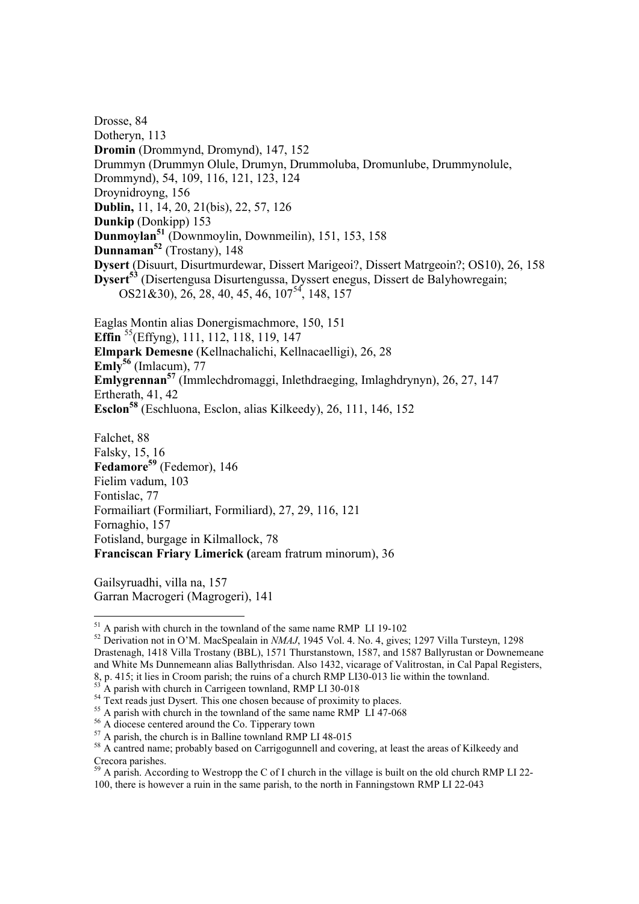Drosse, 84 Dotheryn, 113 **Dromin** (Drommynd, Dromynd), 147, 152 Drummyn (Drummyn Olule, Drumyn, Drummoluba, Dromunlube, Drummynolule, Drommynd), 54, 109, 116, 121, 123, 124 Droynidroyng, 156 **Dublin,** 11, 14, 20, 21(bis), 22, 57, 126 **Dunkip** (Donkipp) 153 **Dunmoylan<sup>51</sup>** (Downmoylin, Downmeilin), 151, 153, 158 **Dunnaman<sup>52</sup>** (Trostany), 148 **Dysert** (Disuurt, Disurtmurdewar, Dissert Marigeoi?, Dissert Matrgeoin?; OS10), 26, 158 **Dysert53** (Disertengusa Disurtengussa, Dyssert enegus, Dissert de Balyhowregain;  $OS21\&30$ ,  $26$ ,  $28$ ,  $40$ ,  $45$ ,  $46$ ,  $107<sup>54</sup>$ ,  $148$ ,  $157$ 

Eaglas Montin alias Donergismachmore, 150, 151 **Effin** <sup>55</sup>(Effyng), 111, 112, 118, 119, 147 **Elmpark Demesne** (Kellnachalichi, Kellnacaelligi), 26, 28 **Emly<sup>56</sup>** (Imlacum), 77 **Emlygrennan57** (Immlechdromaggi, Inlethdraeging, Imlaghdrynyn), 26, 27, 147 Ertherath, 41, 42 **Esclon58** (Eschluona, Esclon, alias Kilkeedy), 26, 111, 146, 152

Falchet, 88 Falsky, 15, 16 Fedamore<sup>59</sup> (Fedemor), 146 Fielim vadum, 103 Fontislac, 77 Formailiart (Formiliart, Formiliard), 27, 29, 116, 121 Fornaghio, 157 Fotisland, burgage in Kilmallock, 78 **Franciscan Friary Limerick (**aream fratrum minorum), 36

Gailsyruadhi, villa na, 157 Garran Macrogeri (Magrogeri), 141

1

<sup>&</sup>lt;sup>51</sup> A parish with church in the townland of the same name RMP LI 19-102<br><sup>52</sup> Derivation not in O'M. MacSpealain in *NMAJ*, 1945 Vol. 4. No. 4, gives; 1297 Villa Tursteyn, 1298 Drastenagh, 1418 Villa Trostany (BBL), 1571 Thurstanstown, 1587, and 1587 Ballyrustan or Downemeane and White Ms Dunnemeann alias Ballythrisdan. Also 1432, vicarage of Valitrostan, in Cal Papal Registers, 8, p. 415; it lies in Croom parish; the ruins of a church RMP LI30-013 lie within the townland.

 $^{53}$  A parish with church in Carrigeen townland, RMP LI 30-018<br><sup>54</sup> Text reads just Dysert. This one chosen because of proximity to places.

<sup>&</sup>lt;sup>55</sup> A parish with church in the townland of the same name RMP LI 47-068  $\frac{56}{11}$  A diocese centered around the Co. Tipperary town

 $57$  A parish, the church is in Balline townland RMP LI 48-015

<sup>&</sup>lt;sup>58</sup> A cantred name; probably based on Carrigogunnell and covering, at least the areas of Kilkeedy and Crecora parishes.

 $59$  A parish. According to Westropp the C of I church in the village is built on the old church RMP LI 22-100, there is however a ruin in the same parish, to the north in Fanningstown RMP LI 22-043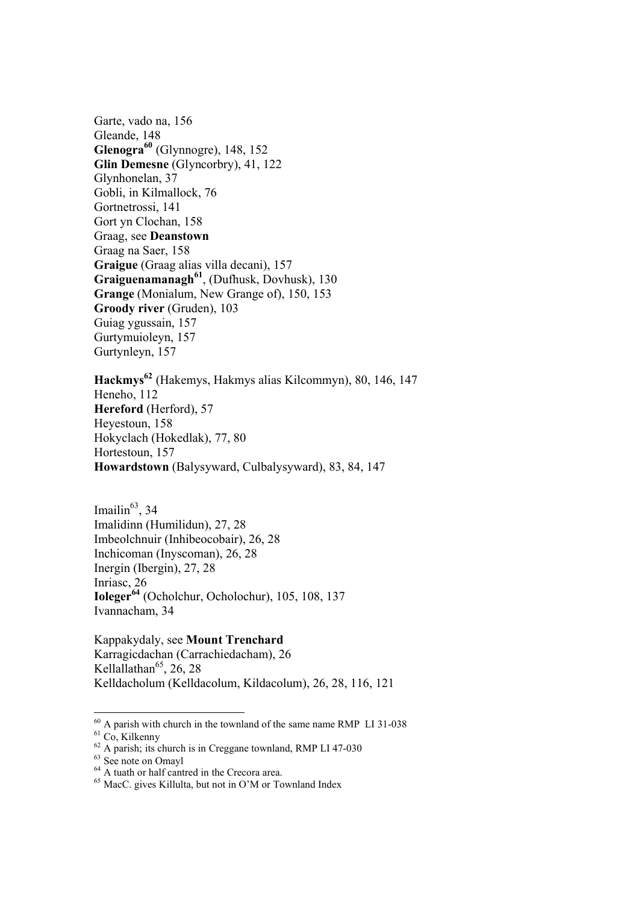Garte, vado na, 156 Gleande, 148 **Glenogra60** (Glynnogre), 148, 152 **Glin Demesne** (Glyncorbry), 41, 122 Glynhonelan, 37 Gobli, in Kilmallock, 76 Gortnetrossi, 141 Gort yn Clochan, 158 Graag, see **Deanstown** Graag na Saer, 158 **Graigue** (Graag alias villa decani), 157 **Graiguenamanagh<sup>61</sup>**, (Dufhusk, Dovhusk), 130 **Grange** (Monialum, New Grange of), 150, 153 **Groody river** (Gruden), 103 Guiag ygussain, 157 Gurtymuioleyn, 157 Gurtynleyn, 157

**Hackmys62** (Hakemys, Hakmys alias Kilcommyn), 80, 146, 147 Heneho, 112 **Hereford** (Herford), 57 Heyestoun, 158 Hokyclach (Hokedlak), 77, 80 Hortestoun, 157 **Howardstown** (Balysyward, Culbalysyward), 83, 84, 147

Imailin $^{63}$ , 34 Imalidinn (Humilidun), 27, 28 Imbeolchnuir (Inhibeocobair), 26, 28 Inchicoman (Inyscoman), 26, 28 Inergin (Ibergin), 27, 28 Inriasc, 26 **Ioleger<sup>64</sup>** (Ocholchur, Ocholochur), 105, 108, 137 Ivannacham, 34

Kappakydaly, see **Mount Trenchard** Karragicdachan (Carrachiedacham), 26 Kellallathan<sup>65</sup>, 26, 28 Kelldacholum (Kelldacolum, Kildacolum), 26, 28, 116, 121

 $^{60}$  A parish with church in the townland of the same name RMP LI 31-038

<sup>&</sup>lt;sup>61</sup> Co, Kilkenny<br><sup>62</sup> A parish; its church is in Creggane townland, RMP LI 47-030<br><sup>63</sup> See note on Omavl

 $64$  A tuath or half cantred in the Crecora area.

<sup>65</sup> MacC. gives Killulta, but not in O'M or Townland Index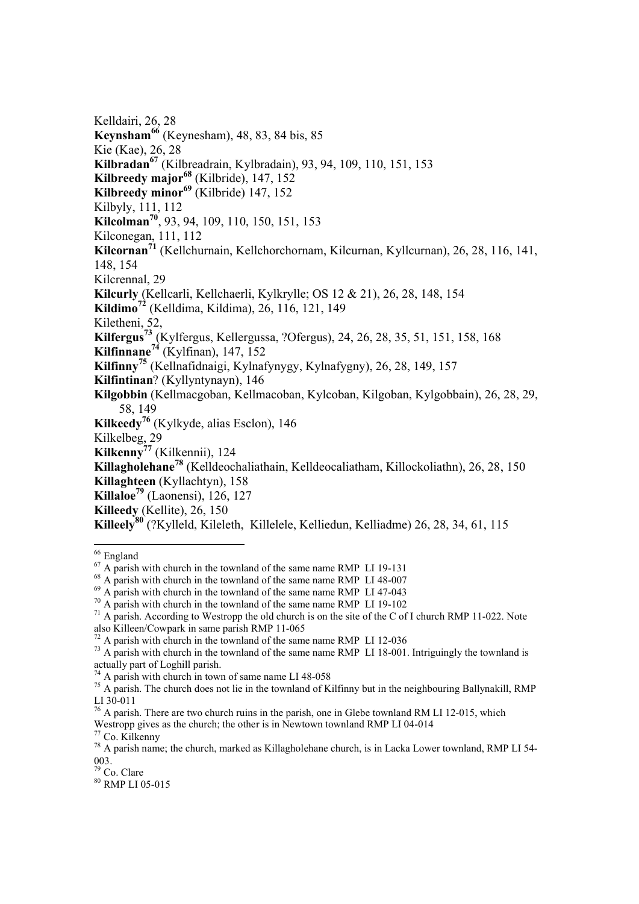Kelldairi, 26, 28 **Keynsham<sup>66</sup>** (Keynesham), 48, 83, 84 bis, 85 Kie (Kae), 26, 28 **Kilbradan<sup>67</sup>** (Kilbreadrain, Kylbradain), 93, 94, 109, 110, 151, 153 **Kilbreedy major<sup>68</sup>** (Kilbride), 147, 152 **Kilbreedy minor<sup>69</sup>** (Kilbride) 147, 152 Kilbyly, 111, 112 **Kilcolman70**, 93, 94, 109, 110, 150, 151, 153 Kilconegan, 111, 112 **Kilcornan71** (Kellchurnain, Kellchorchornam, Kilcurnan, Kyllcurnan), 26, 28, 116, 141, 148, 154 Kilcrennal, 29 **Kilcurly** (Kellcarli, Kellchaerli, Kylkrylle; OS 12 & 21), 26, 28, 148, 154 **Kildimo<sup>72</sup>** (Kelldima, Kildima), 26, 116, 121, 149 Kiletheni, 52, **Kilfergus73** (Kylfergus, Kellergussa, ?Ofergus), 24, 26, 28, 35, 51, 151, 158, 168 **Kilfinnane<sup>74</sup>** (Kylfinan), 147, 152 **Kilfinny<sup>75</sup>** (Kellnafidnaigi, Kylnafynygy, Kylnafygny), 26, 28, 149, 157 **Kilfintinan**? (Kyllyntynayn), 146 **Kilgobbin** (Kellmacgoban, Kellmacoban, Kylcoban, Kilgoban, Kylgobbain), 26, 28, 29, 58, 149 **Kilkeedy76** (Kylkyde, alias Esclon), 146 Kilkelbeg, 29 **Kilkenny<sup>77</sup>** (Kilkennii), 124 **Killagholehane<sup>78</sup>** (Kelldeochaliathain, Kelldeocaliatham, Killockoliathn), 26, 28, 150 **Killaghteen** (Kyllachtyn), 158 **Killaloe79** (Laonensi), 126, 127 **Killeedy** (Kellite), 26, 150 **Killeely<sup>80</sup>** (?Kylleld, Kileleth, Killelele, Kelliedun, Kelliadme) 26, 28, 34, 61, 115 -

<sup>80</sup> RMP LI 05-015

<sup>&</sup>lt;sup>66</sup> England

<sup>&</sup>lt;sup>67</sup> A parish with church in the townland of the same name RMP LI 19-131<br><sup>68</sup> A parish with church in the townland of the same name RMP LI 48-007<br><sup>69</sup> A parish with church in the townland of the same name RMP LI 47-043<br><sup>7</sup> also Killeen/Cowpark in same parish RMP 11-065<br><sup>72</sup> A parish with church in the townland of the same name RMP LI 12-036

 $^{73}$  A parish with church in the townland of the same name RMP LI 18-001. Intriguingly the townland is actually part of Loghill parish.<br><sup>74</sup> A parish with church in town of same name LI 48-058

 $^{75}$  A parish. The church does not lie in the town land of Kilfinny but in the neighbouring Ballynakill, RMP LI 30-011

 $76$  A parish. There are two church ruins in the parish, one in Glebe townland RM LI 12-015, which Westropp gives as the church; the other is in Newtown townland RMP LI 04-014

 $77$  Co. Kilkenny

<sup>&</sup>lt;sup>78</sup> A parish name; the church, marked as Killagholehane church, is in Lacka Lower townland, RMP LI 54- $\overline{003}$ .<br> $\overline{00}$ . Clare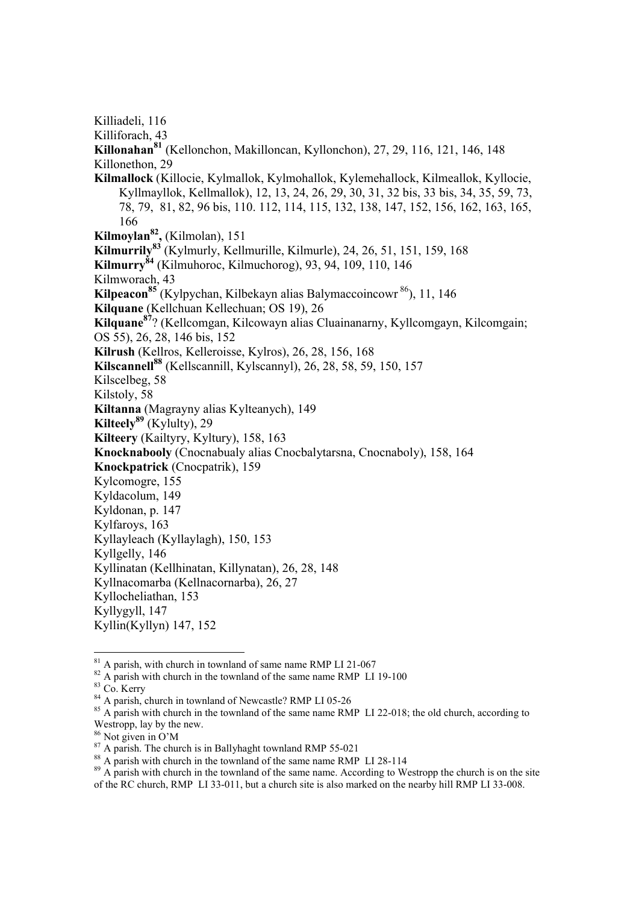Killiforach, 43 **Killonahan81** (Kellonchon, Makilloncan, Kyllonchon), 27, 29, 116, 121, 146, 148 Killonethon, 29 **Kilmallock** (Killocie, Kylmallok, Kylmohallok, Kylemehallock, Kilmeallok, Kyllocie, Kyllmayllok, Kellmallok), 12, 13, 24, 26, 29, 30, 31, 32 bis, 33 bis, 34, 35, 59, 73, 78, 79, 81, 82, 96 bis, 110. 112, 114, 115, 132, 138, 147, 152, 156, 162, 163, 165,

 166 **Kilmoylan82,** (Kilmolan), 151

**Kilmurrily<sup>83</sup>** (Kylmurly, Kellmurille, Kilmurle), 24, 26, 51, 151, 159, 168

**Kilmurry<sup>84</sup>** (Kilmuhoroc, Kilmuchorog), 93, 94, 109, 110, 146

Kilmworach, 43

Killiadeli, 116

**Kilpeacon85** (Kylpychan, Kilbekayn alias Balymaccoincowr 86), 11, 146

**Kilquane** (Kellchuan Kellechuan; OS 19), 26

**Kilquane<sup>87</sup>**? (Kellcomgan, Kilcowayn alias Cluainanarny, Kyllcomgayn, Kilcomgain;

OS 55), 26, 28, 146 bis, 152

**Kilrush** (Kellros, Kelleroisse, Kylros), 26, 28, 156, 168

**Kilscannell<sup>88</sup>** (Kellscannill, Kylscannyl), 26, 28, 58, 59, 150, 157

Kilscelbeg, 58

Kilstoly, 58

**Kiltanna** (Magrayny alias Kylteanych), 149

**Kilteely89** (Kylulty), 29

**Kilteery** (Kailtyry, Kyltury), 158, 163

**Knocknabooly** (Cnocnabualy alias Cnocbalytarsna, Cnocnaboly), 158, 164

**Knockpatrick** (Cnocpatrik), 159

Kylcomogre, 155

- Kyldacolum, 149
- Kyldonan, p. 147
- Kylfaroys, 163

Kyllayleach (Kyllaylagh), 150, 153

Kyllgelly, 146

Kyllinatan (Kellhinatan, Killynatan), 26, 28, 148

Kyllnacomarba (Kellnacornarba), 26, 27

Kyllocheliathan, 153

Kyllygyll, 147

Kyllin(Kyllyn) 147, 152

 $81$  A parish, with church in townland of same name RMP LI 21-067

<sup>82</sup> A parish with church in the townland of the same name RMP LI 19-100 <sup>83</sup> Co. Kerry <sup>84</sup> A parish, church in townland of Newcastle? RMP LI 05-26

<u>.</u>

<sup>&</sup>lt;sup>85</sup> A parish with church in the townland of the same name RMP LI 22-018; the old church, according to Westropp, lay by the new.

<sup>86</sup> Not given in O'M

<sup>&</sup>lt;sup>87</sup> A parish. The church is in Ballyhaght townland RMP 55-021<br><sup>88</sup> A parish with church in the townland of the same name RMP LI 28-114

 $89$  A parish with church in the townland of the same name. According to Westropp the church is on the site of the RC church, RMP LI 33-011, but a church site is also marked on the nearby hill RMP LI 33-008.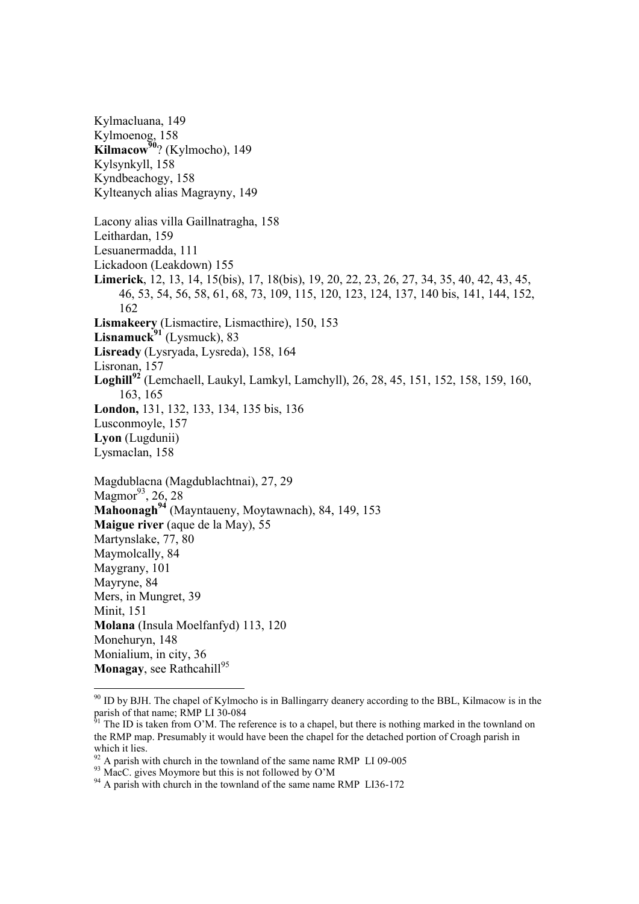Kylmacluana, 149 Kylmoenog, 158 **Kilmacow<sup>90</sup>?** (Kylmocho), 149 Kylsynkyll, 158 Kyndbeachogy, 158 Kylteanych alias Magrayny, 149 Lacony alias villa Gaillnatragha, 158 Leithardan, 159 Lesuanermadda, 111 Lickadoon (Leakdown) 155 **Limerick**, 12, 13, 14, 15(bis), 17, 18(bis), 19, 20, 22, 23, 26, 27, 34, 35, 40, 42, 43, 45, 46, 53, 54, 56, 58, 61, 68, 73, 109, 115, 120, 123, 124, 137, 140 bis, 141, 144, 152, 162 **Lismakeery** (Lismactire, Lismacthire), 150, 153 **Lisnamuck<sup>91</sup>** (Lysmuck), 83 **Lisready** (Lysryada, Lysreda), 158, 164 Lisronan, 157 **Loghill<sup>92</sup>** (Lemchaell, Laukyl, Lamkyl, Lamchyll), 26, 28, 45, 151, 152, 158, 159, 160, 163, 165 **London,** 131, 132, 133, 134, 135 bis, 136 Lusconmoyle, 157 **Lyon** (Lugdunii) Lysmaclan, 158 Magdublacna (Magdublachtnai), 27, 29 Magmor<sup>93</sup>, 26, 28 Mahoonagh<sup>94</sup> (Mayntaueny, Moytawnach), 84, 149, 153 **Maigue river** (aque de la May), 55 Martynslake, 77, 80 Maymolcally, 84 Maygrany, 101 Mayryne, 84 Mers, in Mungret, 39 Minit, 151 **Molana** (Insula Moelfanfyd) 113, 120 Monehuryn, 148 Monialium, in city, 36 **Monagay**, see Rathcahill<sup>95</sup>

<sup>&</sup>lt;sup>90</sup> ID by BJH. The chapel of Kylmocho is in Ballingarry deanery according to the BBL, Kilmacow is in the parish of that name; RMP LI 30-084

The ID is taken from O'M. The reference is to a chapel, but there is nothing marked in the townland on the RMP map. Presumably it would have been the chapel for the detached portion of Croagh parish in which it lies.

<sup>&</sup>lt;sup>92</sup> A parish with church in the townland of the same name RMP LI 09-005  $^{93}$  MacC. gives Moymore but this is not followed by O'M

 $^{93}$  MacC. gives Moymore but this is not followed by O'M<br><sup>94</sup> A parish with church in the townland of the same name RMP LI36-172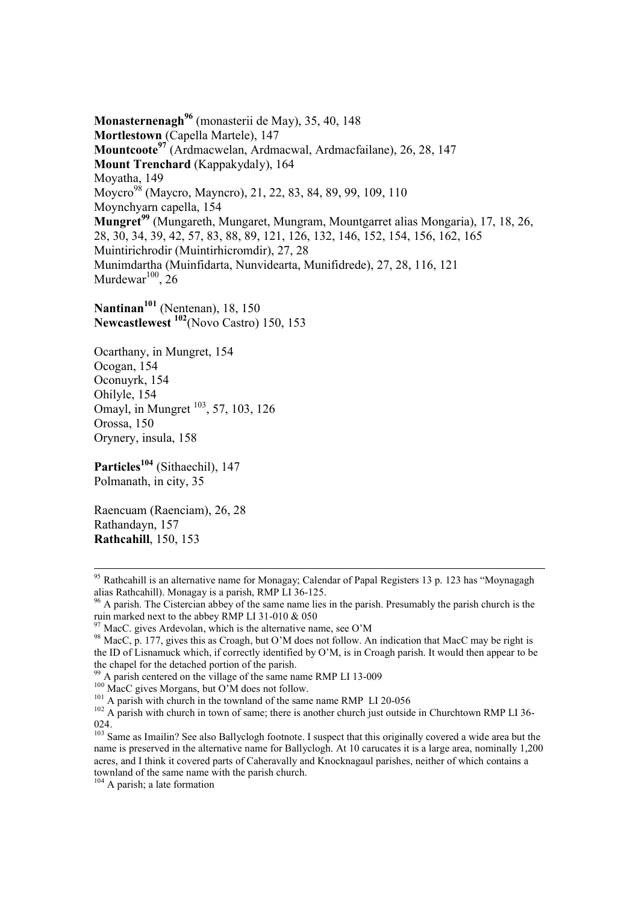**Monasternenagh<sup>96</sup>** (monasterii de May), 35, 40, 148 **Mortlestown** (Capella Martele), 147 **Mountcoote97** (Ardmacwelan, Ardmacwal, Ardmacfailane), 26, 28, 147 **Mount Trenchard** (Kappakydaly), 164 Moyatha, 149 Moycro<sup>98</sup> (Maycro, Mayncro), 21, 22, 83, 84, 89, 99, 109, 110 Moynchyarn capella, 154 **Mungret<sup>99</sup>** (Mungareth, Mungaret, Mungram, Mountgarret alias Mongaria), 17, 18, 26, 28, 30, 34, 39, 42, 57, 83, 88, 89, 121, 126, 132, 146, 152, 154, 156, 162, 165 Muintirichrodir (Muintirhicromdir), 27, 28 Munimdartha (Muinfidarta, Nunvidearta, Munifidrede), 27, 28, 116, 121 Murdewar<sup>100</sup>, 26

**Nantinan101** (Nentenan), 18, 150 **Newcastlewest 102**(Novo Castro) 150, 153

Ocarthany, in Mungret, 154 Ocogan, 154 Oconuyrk, 154 Ohilyle, 154 Omayl, in Mungret <sup>103</sup>, 57, 103, 126 Orossa, 150 Orynery, insula, 158

Particles<sup>104</sup> (Sithaechil), 147 Polmanath, in city, 35

Raencuam (Raenciam), 26, 28 Rathandayn, 157 **Rathcahill**, 150, 153

-

104 A parish; a late formation

<sup>&</sup>lt;sup>95</sup> Rathcahill is an alternative name for Monagay; Calendar of Papal Registers 13 p. 123 has "Moynagagh alias Rathcahill). Monagay is a parish, RMP LI 36-125.

<sup>&</sup>lt;sup>96</sup> A parish. The Cistercian abbey of the same name lies in the parish. Presumably the parish church is the ruin marked next to the abbey RMP LI 31-010 & 050

 $97$  MacC. gives Ardevolan, which is the alternative name, see O'M

<sup>&</sup>lt;sup>98</sup> MacC, p. 177, gives this as Croagh, but O'M does not follow. An indication that MacC may be right is the ID of Lisnamuck which, if correctly identified by O'M, is in Croagh parish. It would then appear to be the chapel for the detached portion of the parish.

<sup>&</sup>lt;sup>99</sup> A parish centered on the village of the same name RMP LI 13-009  $_{100}$  MacC gives Morgans, but O'M does not follow.

<sup>&</sup>lt;sup>101</sup> A parish with church in the townland of the same name RMP LI 20-056  $102$  A parish with church in town of same; there is another church just outside in Churchtown RMP LI 36-024.

 $\frac{103}{103}$  Same as Imailin? See also Ballyclogh footnote. I suspect that this originally covered a wide area but the name is preserved in the alternative name for Ballyclogh. At 10 carucates it is a large area, nominally 1,200 acres, and I think it covered parts of Caheravally and Knocknagaul parishes, neither of which contains a townland of the same name with the parish church.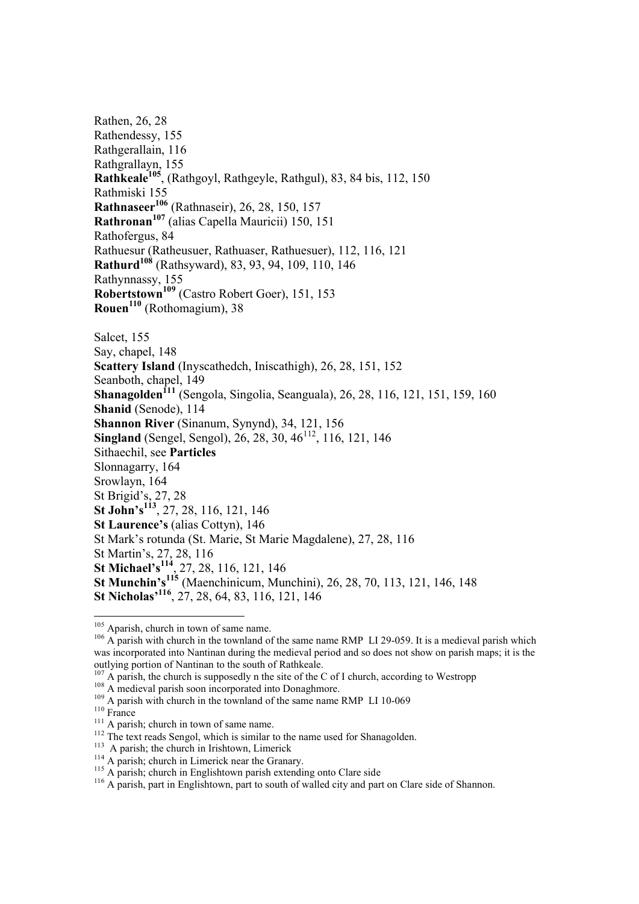Rathen, 26, 28 Rathendessy, 155 Rathgerallain, 116 Rathgrallayn, 155 **Rathkeale105**, (Rathgoyl, Rathgeyle, Rathgul), 83, 84 bis, 112, 150 Rathmiski 155 **Rathnaseer<sup>106</sup>** (Rathnaseir), 26, 28, 150, 157 **Rathronan<sup>107</sup>** (alias Capella Mauricii) 150, 151 Rathofergus, 84 Rathuesur (Ratheusuer, Rathuaser, Rathuesuer), 112, 116, 121 **Rathurd<sup>108</sup>** (Rathsyward), 83, 93, 94, 109, 110, 146 Rathynnassy, 155 **Robertstown109** (Castro Robert Goer), 151, 153 **Rouen<sup>110</sup>** (Rothomagium), 38 Salcet, 155 Say, chapel, 148 **Scattery Island** (Inyscathedch, Iniscathigh), 26, 28, 151, 152 Seanboth, chapel, 149 **Shanagolden**<sup>111</sup> (Sengola, Singolia, Seanguala), 26, 28, 116, 121, 151, 159, 160 **Shanid** (Senode), 114 **Shannon River** (Sinanum, Synynd), 34, 121, 156 **Singland** (Sengel, Sengol), 26, 28, 30, 46<sup>112</sup>, 116, 121, 146 Sithaechil, see **Particles** Slonnagarry, 164 Srowlayn, 164 St Brigid's, 27, 28 **St John's113**, 27, 28, 116, 121, 146 **St Laurence's** (alias Cottyn), 146 St Mark's rotunda (St. Marie, St Marie Magdalene), 27, 28, 116 St Martin's, 27, 28, 116 **St Michael's<sup>114</sup>**, 27, 28, 116, 121, 146 **St Munchin's<sup>115</sup>** (Maenchinicum, Munchini), 26, 28, 70, 113, 121, 146, 148

1

**St Nicholas'116**, 27, 28, 64, 83, 116, 121, 146

<sup>&</sup>lt;sup>105</sup> Aparish, church in town of same name.<br><sup>106</sup> A parish with church in the townland of the same name RMP LI 29-059. It is a medieval parish which was incorporated into Nantinan during the medieval period and so does not show on parish maps; it is the outlying portion of Nantinan to the south of Rathkeale.<br><sup>107</sup> A parish, the church is supposedly n the site of the C of I church, according to Westropp

<sup>&</sup>lt;sup>108</sup> A medieval parish soon incorporated into Donaghmore.<br><sup>109</sup> A parish with church in the townland of the same name RMP LI 10-069<br><sup>110</sup> France<br><sup>112</sup> The text reads Sengol, which is similar to the name used for Shanagold